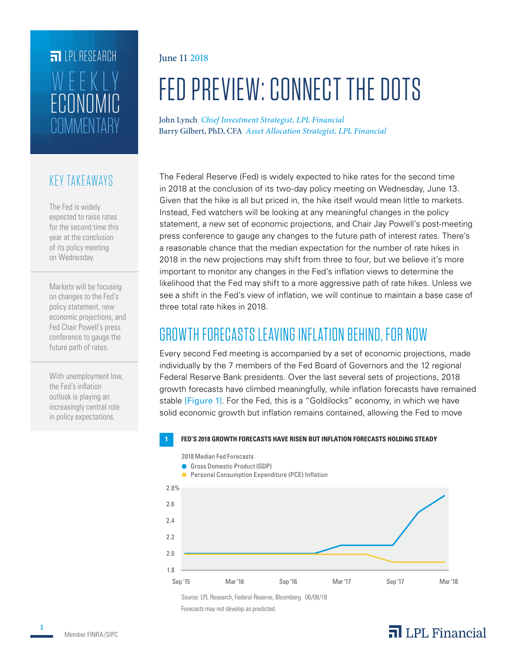## **FILLE** LPL RESEARCH **COMMENTARY** ECONOMIC WEEKLY

#### KEY TAKEAWAYS

The Fed is widely expected to raise rates for the second time this year at the conclusion of its policy meeting on Wednesday.

Markets will be focusing on changes to the Fed's policy statement, new economic projections, and Fed Chair Powell's press conference to gauge the future path of rates.

With unemployment low, the Fed's inflation outlook is playing an increasingly central role in policy expectations.

#### June 11 2018

# FED PREVIEW: CONNECT THE DOTS

John Lynch *Chief Investment Strategist, LPL Financial* Barry Gilbert, PhD, CFA *Asset Allocation Strategist, LPL Financial*

The Federal Reserve (Fed) is widely expected to hike rates for the second time in 2018 at the conclusion of its two-day policy meeting on Wednesday, June 13. Given that the hike is all but priced in, the hike itself would mean little to markets. Instead, Fed watchers will be looking at any meaningful changes in the policy statement, a new set of economic projections, and Chair Jay Powell's post-meeting press conference to gauge any changes to the future path of interest rates. There's a reasonable chance that the median expectation for the number of rate hikes in 2018 in the new projections may shift from three to four, but we believe it's more important to monitor any changes in the Fed's inflation views to determine the likelihood that the Fed may shift to a more aggressive path of rate hikes. Unless we see a shift in the Fed's view of inflation, we will continue to maintain a base case of three total rate hikes in 2018.

### GROWTH FORECASTS LEAVING INFLATION BEHIND, FOR NOW

Every second Fed meeting is accompanied by a set of economic projections, made individually by the 7 members of the Fed Board of Governors and the 12 regional Federal Reserve Bank presidents. Over the last several sets of projections, 2018 growth forecasts have climbed meaningfully, while inflation forecasts have remained stable [Figure 1]. For the Fed, this is a "Goldilocks" economy, in which we have solid economic growth but inflation remains contained, allowing the Fed to move

#### **1 FED'S 2018 GROWTH FORECASTS HAVE RISEN BUT INFLATION FORECASTS HOLDING STEADY**

2018 Median Fed Forecasts



Source: LPL Research, Federal Reserve, Bloomberg 06/08/18 Forecasts may not develop as predicted.

### $\overline{\mathbf{a}}$  LPL Financial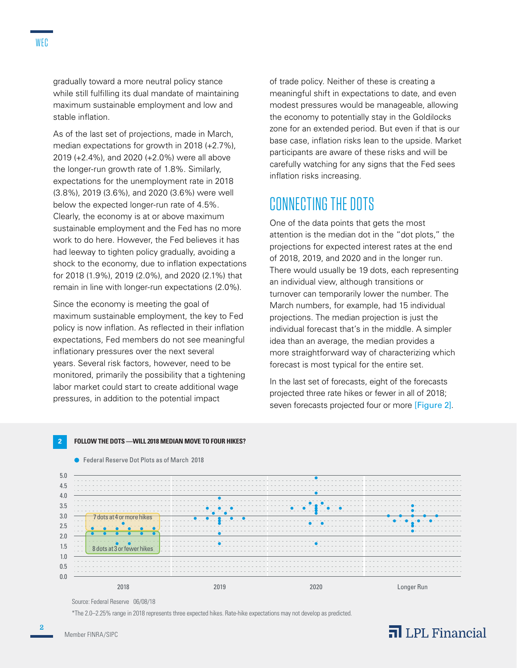gradually toward a more neutral policy stance while still fulfilling its dual mandate of maintaining maximum sustainable employment and low and stable inflation.

As of the last set of projections, made in March, median expectations for growth in 2018 (+2.7%), 2019 (+2.4%), and 2020 (+2.0%) were all above the longer-run growth rate of 1.8%. Similarly, expectations for the unemployment rate in 2018 (3.8%), 2019 (3.6%), and 2020 (3.6%) were well below the expected longer-run rate of 4.5%. Clearly, the economy is at or above maximum sustainable employment and the Fed has no more work to do here. However, the Fed believes it has had leeway to tighten policy gradually, avoiding a shock to the economy, due to inflation expectations for 2018 (1.9%), 2019 (2.0%), and 2020 (2.1%) that remain in line with longer-run expectations (2.0%).

Since the economy is meeting the goal of maximum sustainable employment, the key to Fed policy is now inflation. As reflected in their inflation expectations, Fed members do not see meaningful inflationary pressures over the next several years. Several risk factors, however, need to be monitored, primarily the possibility that a tightening labor market could start to create additional wage pressures, in addition to the potential impact

● Federal Reserve Dot Plots as of March 2018

of trade policy. Neither of these is creating a meaningful shift in expectations to date, and even modest pressures would be manageable, allowing the economy to potentially stay in the Goldilocks zone for an extended period. But even if that is our base case, inflation risks lean to the upside. Market participants are aware of these risks and will be carefully watching for any signs that the Fed sees inflation risks increasing.

#### CONNECTING THE DOTS

One of the data points that gets the most attention is the median dot in the "dot plots," the projections for expected interest rates at the end of 2018, 2019, and 2020 and in the longer run. There would usually be 19 dots, each representing an individual view, although transitions or turnover can temporarily lower the number. The March numbers, for example, had 15 individual projections. The median projection is just the individual forecast that's in the middle. A simpler idea than an average, the median provides a more straightforward way of characterizing which forecast is most typical for the entire set.

In the last set of forecasts, eight of the forecasts projected three rate hikes or fewer in all of 2018; seven forecasts projected four or more [Figure 2].





Source: Federal Reserve 06/08/18

\*The 2.0–2.25% range in 2018 represents three expected hikes. Rate-hike expectations may not develop as predicted.

### $\overline{\mathbf{a}}$  LPL Financial

Member FINRA/SIPC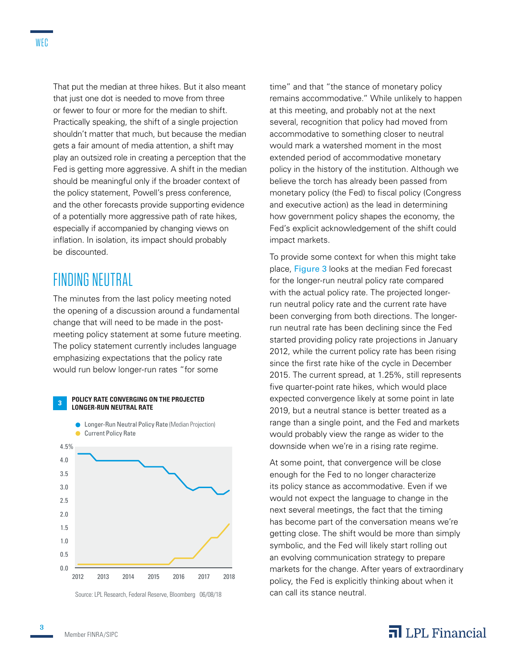That put the median at three hikes. But it also meant that just one dot is needed to move from three or fewer to four or more for the median to shift. Practically speaking, the shift of a single projection shouldn't matter that much, but because the median gets a fair amount of media attention, a shift may play an outsized role in creating a perception that the Fed is getting more aggressive. A shift in the median should be meaningful only if the broader context of the policy statement, Powell's press conference, and the other forecasts provide supporting evidence of a potentially more aggressive path of rate hikes, especially if accompanied by changing views on inflation. In isolation, its impact should probably be discounted.

### FINDING NEUTRAL

The minutes from the last policy meeting noted the opening of a discussion around a fundamental change that will need to be made in the postmeeting policy statement at some future meeting. The policy statement currently includes language emphasizing expectations that the policy rate would run below longer-run rates "for some

#### **3POLICY RATE CONVERGING ON THE PROJECTED LONGER-RUN NEUTRAL RATE**



Source: LPL Research, Federal Reserve, Bloomberg 06/08/18

time" and that "the stance of monetary policy remains accommodative." While unlikely to happen at this meeting, and probably not at the next several, recognition that policy had moved from accommodative to something closer to neutral would mark a watershed moment in the most extended period of accommodative monetary policy in the history of the institution. Although we believe the torch has already been passed from monetary policy (the Fed) to fiscal policy (Congress and executive action) as the lead in determining how government policy shapes the economy, the Fed's explicit acknowledgement of the shift could impact markets.

To provide some context for when this might take place, Figure 3 looks at the median Fed forecast for the longer-run neutral policy rate compared with the actual policy rate. The projected longerrun neutral policy rate and the current rate have been converging from both directions. The longerrun neutral rate has been declining since the Fed started providing policy rate projections in January 2012, while the current policy rate has been rising since the first rate hike of the cycle in December 2015. The current spread, at 1.25%, still represents five quarter-point rate hikes, which would place expected convergence likely at some point in late 2019, but a neutral stance is better treated as a range than a single point, and the Fed and markets would probably view the range as wider to the downside when we're in a rising rate regime.

At some point, that convergence will be close enough for the Fed to no longer characterize its policy stance as accommodative. Even if we would not expect the language to change in the next several meetings, the fact that the timing has become part of the conversation means we're getting close. The shift would be more than simply symbolic, and the Fed will likely start rolling out an evolving communication strategy to prepare markets for the change. After years of extraordinary policy, the Fed is explicitly thinking about when it can call its stance neutral.

#### $\overline{\mathbf{a}}$  LPL Financial